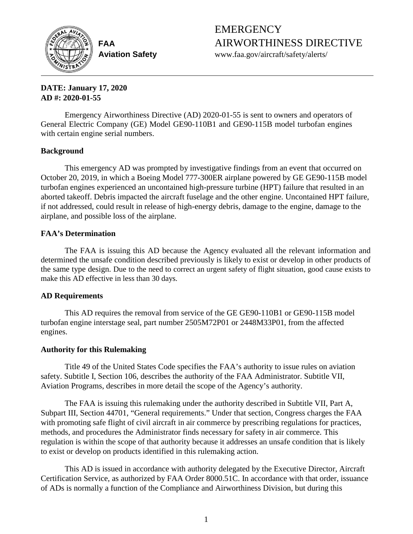

EMERGENCY **FAA** AIRWORTHINESS DIRECTIVE

**Aviation Safety** www.faa.gov/aircraft/safety/alerts/

# **DATE: January 17, 2020 AD #: 2020-01-55**

Emergency Airworthiness Directive (AD) 2020-01-55 is sent to owners and operators of General Electric Company (GE) Model GE90-110B1 and GE90-115B model turbofan engines with certain engine serial numbers.

# **Background**

This emergency AD was prompted by investigative findings from an event that occurred on October 20, 2019, in which a Boeing Model 777-300ER airplane powered by GE GE90-115B model turbofan engines experienced an uncontained high-pressure turbine (HPT) failure that resulted in an aborted takeoff. Debris impacted the aircraft fuselage and the other engine. Uncontained HPT failure, if not addressed, could result in release of high-energy debris, damage to the engine, damage to the airplane, and possible loss of the airplane.

# **FAA's Determination**

The FAA is issuing this AD because the Agency evaluated all the relevant information and determined the unsafe condition described previously is likely to exist or develop in other products of the same type design. Due to the need to correct an urgent safety of flight situation, good cause exists to make this AD effective in less than 30 days.

# **AD Requirements**

This AD requires the removal from service of the GE GE90-110B1 or GE90-115B model turbofan engine interstage seal, part number 2505M72P01 or 2448M33P01, from the affected engines.

# **Authority for this Rulemaking**

Title 49 of the United States Code specifies the FAA's authority to issue rules on aviation safety. Subtitle I, Section 106, describes the authority of the FAA Administrator. Subtitle VII, Aviation Programs, describes in more detail the scope of the Agency's authority.

The FAA is issuing this rulemaking under the authority described in Subtitle VII, Part A, Subpart III, Section 44701, "General requirements." Under that section, Congress charges the FAA with promoting safe flight of civil aircraft in air commerce by prescribing regulations for practices, methods, and procedures the Administrator finds necessary for safety in air commerce. This regulation is within the scope of that authority because it addresses an unsafe condition that is likely to exist or develop on products identified in this rulemaking action.

This AD is issued in accordance with authority delegated by the Executive Director, Aircraft Certification Service, as authorized by FAA Order 8000.51C. In accordance with that order, issuance of ADs is normally a function of the Compliance and Airworthiness Division, but during this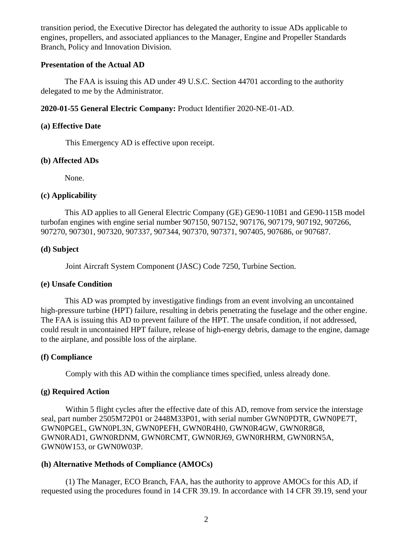transition period, the Executive Director has delegated the authority to issue ADs applicable to engines, propellers, and associated appliances to the Manager, Engine and Propeller Standards Branch, Policy and Innovation Division.

## **Presentation of the Actual AD**

The FAA is issuing this AD under 49 U.S.C. Section 44701 according to the authority delegated to me by the Administrator.

**2020-01-55 General Electric Company:** Product Identifier 2020-NE-01-AD.

### **(a) Effective Date**

This Emergency AD is effective upon receipt.

#### **(b) Affected ADs**

None.

#### **(c) Applicability**

This AD applies to all General Electric Company (GE) GE90-110B1 and GE90-115B model turbofan engines with engine serial number 907150, 907152, 907176, 907179, 907192, 907266, 907270, 907301, 907320, 907337, 907344, 907370, 907371, 907405, 907686, or 907687.

## **(d) Subject**

Joint Aircraft System Component (JASC) Code 7250, Turbine Section.

## **(e) Unsafe Condition**

This AD was prompted by investigative findings from an event involving an uncontained high-pressure turbine (HPT) failure, resulting in debris penetrating the fuselage and the other engine. The FAA is issuing this AD to prevent failure of the HPT. The unsafe condition, if not addressed, could result in uncontained HPT failure, release of high-energy debris, damage to the engine, damage to the airplane, and possible loss of the airplane.

## **(f) Compliance**

Comply with this AD within the compliance times specified, unless already done.

# **(g) Required Action**

Within 5 flight cycles after the effective date of this AD, remove from service the interstage seal, part number 2505M72P01 or 2448M33P01, with serial number GWN0PDTR, GWN0PE7T, GWN0PGEL, GWN0PL3N, GWN0PEFH, GWN0R4H0, GWN0R4GW, GWN0R8G8, GWN0RAD1, GWN0RDNM, GWN0RCMT, GWN0RJ69, GWN0RHRM, GWN0RN5A, GWN0W153, or GWN0W03P.

## **(h) Alternative Methods of Compliance (AMOCs)**

(1) The Manager, ECO Branch, FAA, has the authority to approve AMOCs for this AD, if requested using the procedures found in 14 CFR 39.19. In accordance with 14 CFR 39.19, send your